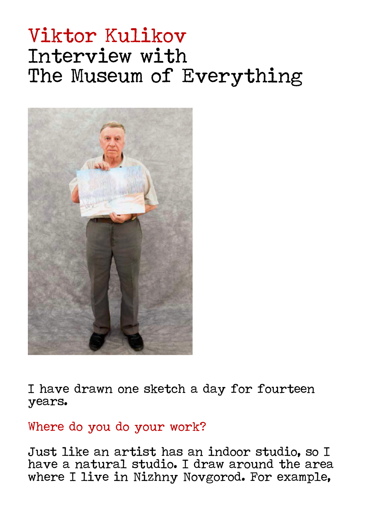# Viktor Kulikov Interview with The Museum of Everything



I have drawn one sketch a day for fourteen years.

#### Where do you do your work?

Just like an artist has an indoor studio, so I have a natural studio. I draw around the area where I live in Nizhny Novgorod. For example,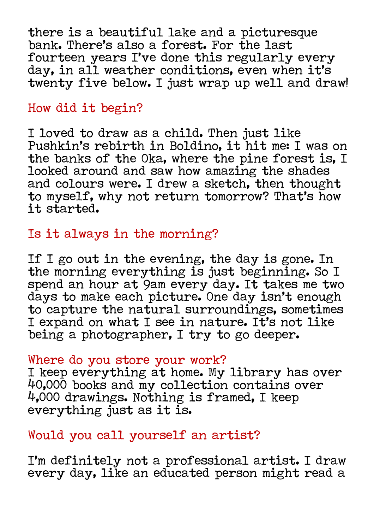there is a beautiful lake and a picturesque bank. There's also a forest. For the last fourteen years I've done this regularly every day, in all weather conditions, even when it's twenty five below. I just wrap up well and draw!

## How did it begin?

I loved to draw as a child. Then just like Pushkin's rebirth in Boldino, it hit me: I was on the banks of the Oka, where the pine forest is, I looked around and saw how amazing the shades and colours were. I drew a sketch, then thought to myself, why not return tomorrow? That's how it started.

# Is it always in the morning?

If I go out in the evening, the day is gone. In the morning everything is just beginning. So I spend an hour at 9am every day. It takes me two days to make each picture. One day isn't enough to capture the natural surroundings, sometimes I expand on what I see in nature. It's not like being a photographer, I try to go deeper.

#### Where do you store your work?

I keep everything at home. My library has over 40,000 books and my collection contains over 4,000 drawings. Nothing is framed, I keep everything just as it is.

## Would you call yourself an artist?

I'm definitely not a professional artist. I draw every day, like an educated person might read a